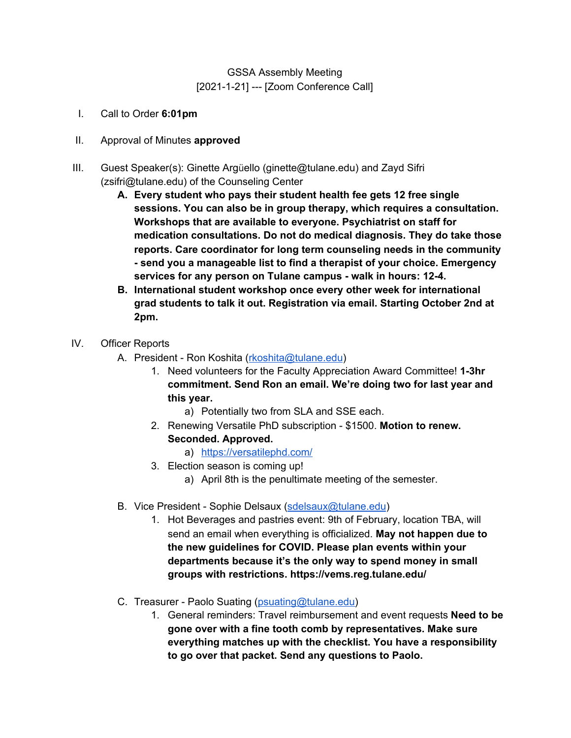## GSSA Assembly Meeting [2021-1-21] --- [Zoom Conference Call]

- I. Call to Order **6:01pm**
- II. Approval of Minutes **approved**
- III. Guest Speaker(s): Ginette Argüello (ginette@tulane.edu) and Zayd Sifri (zsifri@tulane.edu) of the Counseling Center
	- **A. Every student who pays their student health fee gets 12 free single sessions. You can also be in group therapy, which requires a consultation. Workshops that are available to everyone. Psychiatrist on staff for medication consultations. Do not do medical diagnosis. They do take those reports. Care coordinator for long term counseling needs in the community - send you a manageable list to find a therapist of your choice. Emergency services for any person on Tulane campus - walk in hours: 12-4.**
	- **B. International student workshop once every other week for international grad students to talk it out. Registration via email. Starting October 2nd at 2pm.**
- IV. Officer Reports
	- A. President Ron Koshita ([rkoshita@tulane.edu\)](mailto:rkoshita@tulane.edu)
		- 1. Need volunteers for the Faculty Appreciation Award Committee! **1-3hr commitment. Send Ron an email. We're doing two for last year and this year.**
			- a) Potentially two from SLA and SSE each.
		- 2. Renewing Versatile PhD subscription \$1500. **Motion to renew. Seconded. Approved.**
			- a) <https://versatilephd.com/>
		- 3. Election season is coming up!
			- a) April 8th is the penultimate meeting of the semester.
	- B. Vice President Sophie Delsaux [\(sdelsaux@tulane.edu](mailto:sdelsaux@tulane.edu))
		- 1. Hot Beverages and pastries event: 9th of February, location TBA, will send an email when everything is officialized. **May not happen due to the new guidelines for COVID. Please plan events within your departments because it's the only way to spend money in small groups with restrictions. https://vems.reg.tulane.edu/**
	- C. Treasurer Paolo Suating ([psuating@tulane.edu\)](mailto:psuating@tulane.edu)
		- 1. General reminders: Travel reimbursement and event requests **Need to be gone over with a fine tooth comb by representatives. Make sure everything matches up with the checklist. You have a responsibility to go over that packet. Send any questions to Paolo.**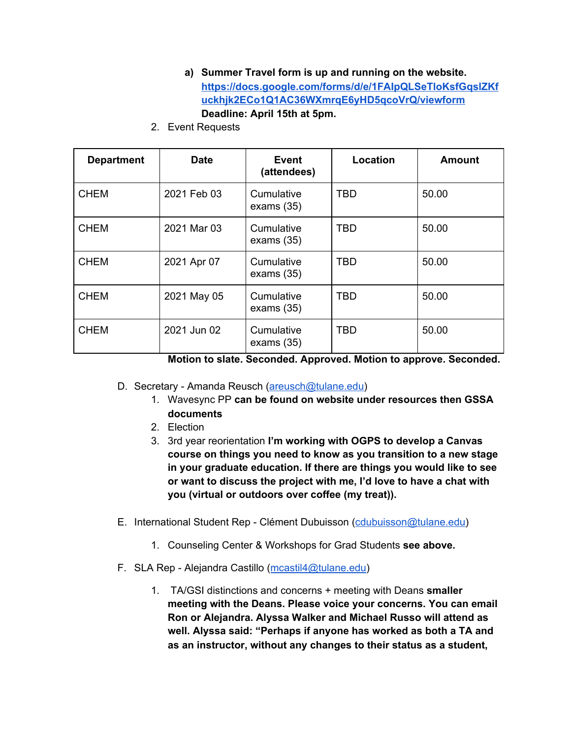- **a) Summer Travel form is up and running on the website. [https://docs.google.com/forms/d/e/1FAIpQLSeTloKsfGqslZKf](https://docs.google.com/forms/d/e/1FAIpQLSeTloKsfGqslZKfuckhjk2ECo1Q1AC36WXmrqE6yHD5qcoVrQ/viewform) [uckhjk2ECo1Q1AC36WXmrqE6yHD5qcoVrQ/viewform](https://docs.google.com/forms/d/e/1FAIpQLSeTloKsfGqslZKfuckhjk2ECo1Q1AC36WXmrqE6yHD5qcoVrQ/viewform) Deadline: April 15th at 5pm.**
- 2. Event Requests

| <b>Department</b> | <b>Date</b> | Event<br>(attendees)       | Location   | <b>Amount</b> |
|-------------------|-------------|----------------------------|------------|---------------|
| <b>CHEM</b>       | 2021 Feb 03 | Cumulative<br>exams $(35)$ | <b>TBD</b> | 50.00         |
| <b>CHEM</b>       | 2021 Mar 03 | Cumulative<br>exams $(35)$ | <b>TBD</b> | 50.00         |
| <b>CHEM</b>       | 2021 Apr 07 | Cumulative<br>exams $(35)$ | <b>TBD</b> | 50.00         |
| <b>CHEM</b>       | 2021 May 05 | Cumulative<br>exams $(35)$ | <b>TBD</b> | 50.00         |
| <b>CHEM</b>       | 2021 Jun 02 | Cumulative<br>exams $(35)$ | <b>TBD</b> | 50.00         |

**Motion to slate. Seconded. Approved. Motion to approve. Seconded.**

- D. Secretary Amanda Reusch ([areusch@tulane.edu\)](mailto:areusch@tulane.edu)
	- 1. Wavesync PP **can be found on website under resources then GSSA documents**
	- 2. Election
	- 3. 3rd year reorientation **I'm working with OGPS to develop a Canvas course on things you need to know as you transition to a new stage in your graduate education. If there are things you would like to see or want to discuss the project with me, I'd love to have a chat with you (virtual or outdoors over coffee (my treat)).**
- E. International Student Rep Clément Dubuisson [\(cdubuisson@tulane.edu\)](mailto:cdubuisson@tulane.edu)
	- 1. Counseling Center & Workshops for Grad Students **see above.**
- F. SLA Rep Alejandra Castillo [\(mcastil4@tulane.edu\)](mailto:mcastil4@tulane.edu)
	- 1. TA/GSI distinctions and concerns + meeting with Deans **smaller meeting with the Deans. Please voice your concerns. You can email Ron or Alejandra. Alyssa Walker and Michael Russo will attend as well. Alyssa said: "Perhaps if anyone has worked as both a TA and as an instructor, without any changes to their status as a student,**